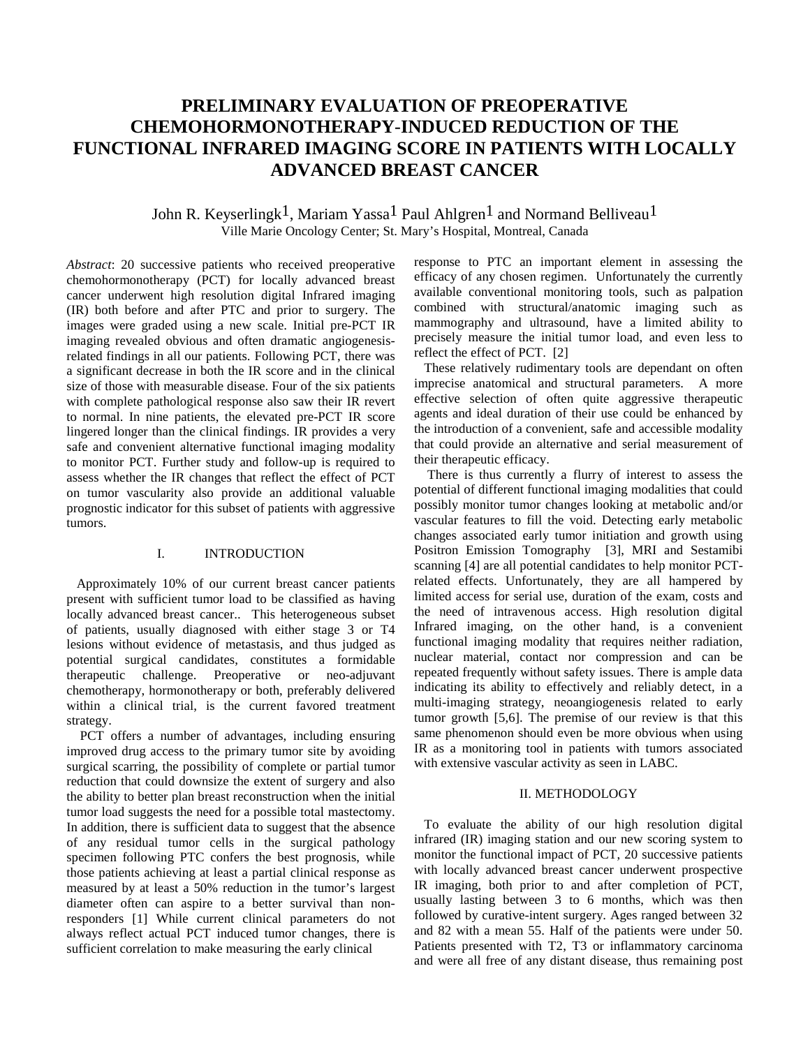# **PRELIMINARY EVALUATION OF PREOPERATIVE CHEMOHORMONOTHERAPY**-**INDUCED REDUCTION OF THE FUNCTIONAL INFRARED IMAGING SCORE IN PATIENTS WITH LOCALLY ADVANCED BREAST CANCER**

## John R. Keyserlingk<sup>1</sup>, Mariam Yassa<sup>1</sup> Paul Ahlgren<sup>1</sup> and Normand Belliveau<sup>1</sup> Ville Marie Oncology Center; St. Mary's Hospital, Montreal, Canada

*Abstract*: 20 successive patients who received preoperative chemohormonotherapy (PCT) for locally advanced breast cancer underwent high resolution digital Infrared imaging (IR) both before and after PTC and prior to surgery. The images were graded using a new scale. Initial pre-PCT IR imaging revealed obvious and often dramatic angiogenesisrelated findings in all our patients. Following PCT, there was a significant decrease in both the IR score and in the clinical size of those with measurable disease. Four of the six patients with complete pathological response also saw their IR revert to normal. In nine patients, the elevated pre-PCT IR score lingered longer than the clinical findings. IR provides a very safe and convenient alternative functional imaging modality to monitor PCT. Further study and follow-up is required to assess whether the IR changes that reflect the effect of PCT on tumor vascularity also provide an additional valuable prognostic indicator for this subset of patients with aggressive tumors.

## I. INTRODUCTION

 Approximately 10% of our current breast cancer patients present with sufficient tumor load to be classified as having locally advanced breast cancer.. This heterogeneous subset of patients, usually diagnosed with either stage 3 or T4 lesions without evidence of metastasis, and thus judged as potential surgical candidates, constitutes a formidable therapeutic challenge. Preoperative or neo-adjuvant chemotherapy, hormonotherapy or both, preferably delivered within a clinical trial, is the current favored treatment strategy.

 PCT offers a number of advantages, including ensuring improved drug access to the primary tumor site by avoiding surgical scarring, the possibility of complete or partial tumor reduction that could downsize the extent of surgery and also the ability to better plan breast reconstruction when the initial tumor load suggests the need for a possible total mastectomy. In addition, there is sufficient data to suggest that the absence of any residual tumor cells in the surgical pathology specimen following PTC confers the best prognosis, while those patients achieving at least a partial clinical response as measured by at least a 50% reduction in the tumor's largest diameter often can aspire to a better survival than nonresponders [1] While current clinical parameters do not always reflect actual PCT induced tumor changes, there is sufficient correlation to make measuring the early clinical

response to PTC an important element in assessing the efficacy of any chosen regimen. Unfortunately the currently available conventional monitoring tools, such as palpation combined with structural/anatomic imaging such as mammography and ultrasound, have a limited ability to precisely measure the initial tumor load, and even less to reflect the effect of PCT. [2]

 These relatively rudimentary tools are dependant on often imprecise anatomical and structural parameters. A more effective selection of often quite aggressive therapeutic agents and ideal duration of their use could be enhanced by the introduction of a convenient, safe and accessible modality that could provide an alternative and serial measurement of their therapeutic efficacy.

 There is thus currently a flurry of interest to assess the potential of different functional imaging modalities that could possibly monitor tumor changes looking at metabolic and/or vascular features to fill the void. Detecting early metabolic changes associated early tumor initiation and growth using Positron Emission Tomography [3], MRI and Sestamibi scanning [4] are all potential candidates to help monitor PCTrelated effects. Unfortunately, they are all hampered by limited access for serial use, duration of the exam, costs and the need of intravenous access. High resolution digital Infrared imaging, on the other hand, is a convenient functional imaging modality that requires neither radiation, nuclear material, contact nor compression and can be repeated frequently without safety issues. There is ample data indicating its ability to effectively and reliably detect, in a multi-imaging strategy, neoangiogenesis related to early tumor growth [5,6]. The premise of our review is that this same phenomenon should even be more obvious when using IR as a monitoring tool in patients with tumors associated with extensive vascular activity as seen in LABC.

## II. METHODOLOGY

 To evaluate the ability of our high resolution digital infrared (IR) imaging station and our new scoring system to monitor the functional impact of PCT, 20 successive patients with locally advanced breast cancer underwent prospective IR imaging, both prior to and after completion of PCT, usually lasting between 3 to 6 months, which was then followed by curative-intent surgery. Ages ranged between 32 and 82 with a mean 55. Half of the patients were under 50. Patients presented with T2, T3 or inflammatory carcinoma and were all free of any distant disease, thus remaining post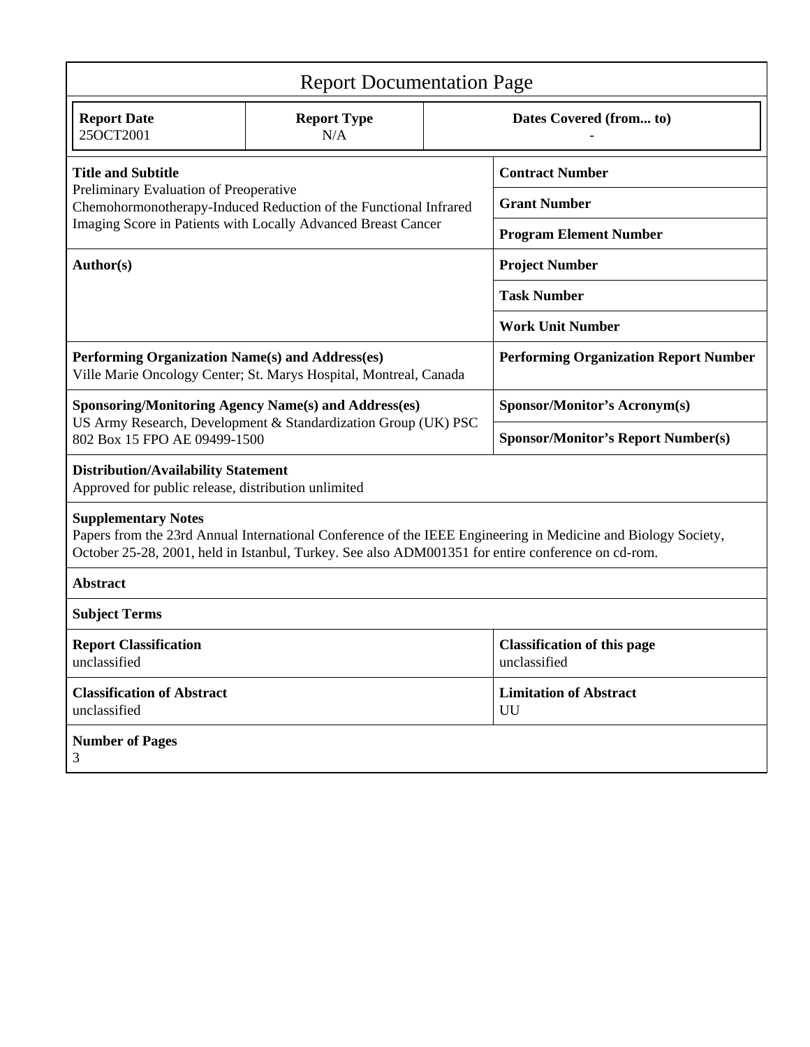| <b>Report Documentation Page</b>                                                                                                                                                                                                                  |                           |                         |                                                    |
|---------------------------------------------------------------------------------------------------------------------------------------------------------------------------------------------------------------------------------------------------|---------------------------|-------------------------|----------------------------------------------------|
| <b>Report Date</b><br>25OCT2001                                                                                                                                                                                                                   | <b>Report Type</b><br>N/A | Dates Covered (from to) |                                                    |
| <b>Title and Subtitle</b><br>Preliminary Evaluation of Preoperative<br>Chemohormonotherapy-Induced Reduction of the Functional Infrared<br>Imaging Score in Patients with Locally Advanced Breast Cancer                                          |                           |                         | <b>Contract Number</b>                             |
|                                                                                                                                                                                                                                                   |                           |                         | <b>Grant Number</b>                                |
|                                                                                                                                                                                                                                                   |                           |                         | <b>Program Element Number</b>                      |
| Author(s)                                                                                                                                                                                                                                         |                           |                         | <b>Project Number</b>                              |
|                                                                                                                                                                                                                                                   |                           |                         | <b>Task Number</b>                                 |
|                                                                                                                                                                                                                                                   |                           |                         | <b>Work Unit Number</b>                            |
| Performing Organization Name(s) and Address(es)<br>Ville Marie Oncology Center; St. Marys Hospital, Montreal, Canada                                                                                                                              |                           |                         | <b>Performing Organization Report Number</b>       |
| <b>Sponsoring/Monitoring Agency Name(s) and Address(es)</b><br>US Army Research, Development & Standardization Group (UK) PSC<br>802 Box 15 FPO AE 09499-1500                                                                                     |                           |                         | <b>Sponsor/Monitor's Acronym(s)</b>                |
|                                                                                                                                                                                                                                                   |                           |                         | <b>Sponsor/Monitor's Report Number(s)</b>          |
| <b>Distribution/Availability Statement</b><br>Approved for public release, distribution unlimited                                                                                                                                                 |                           |                         |                                                    |
| <b>Supplementary Notes</b><br>Papers from the 23rd Annual International Conference of the IEEE Engineering in Medicine and Biology Society,<br>October 25-28, 2001, held in Istanbul, Turkey. See also ADM001351 for entire conference on cd-rom. |                           |                         |                                                    |
| <b>Abstract</b>                                                                                                                                                                                                                                   |                           |                         |                                                    |
| <b>Subject Terms</b>                                                                                                                                                                                                                              |                           |                         |                                                    |
| <b>Report Classification</b><br>unclassified                                                                                                                                                                                                      |                           |                         | <b>Classification of this page</b><br>unclassified |
| <b>Classification of Abstract</b><br>unclassified                                                                                                                                                                                                 |                           |                         | <b>Limitation of Abstract</b><br>UU                |
| <b>Number of Pages</b><br>3                                                                                                                                                                                                                       |                           |                         |                                                    |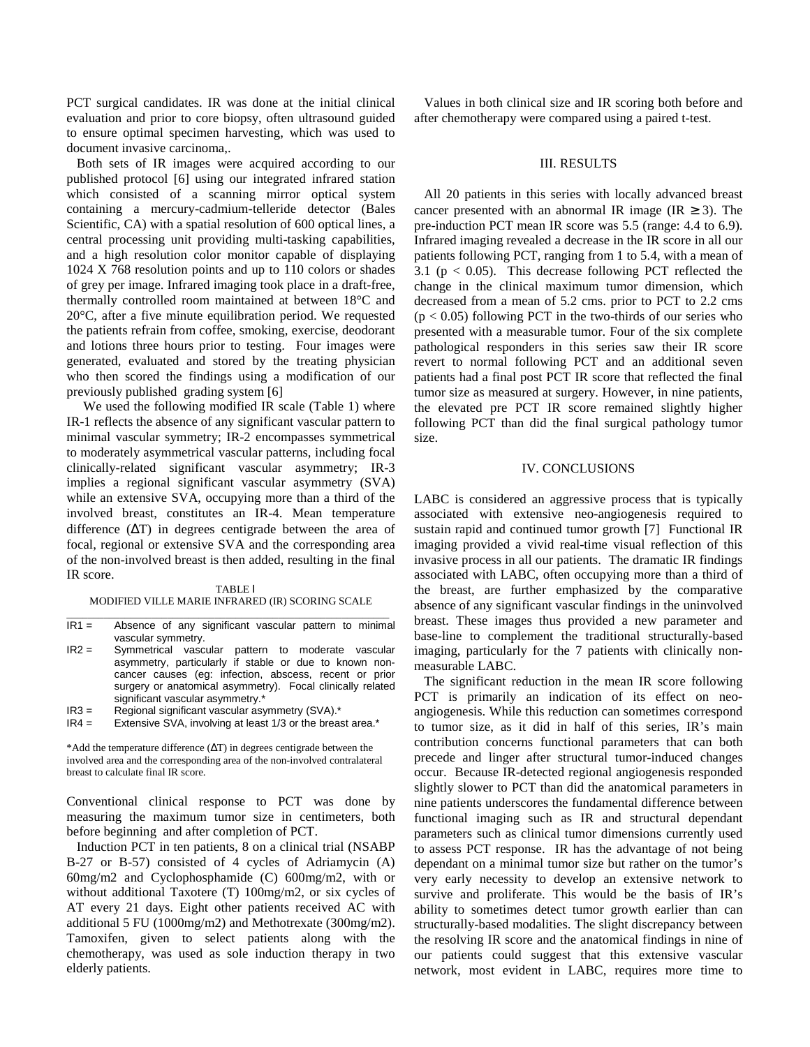PCT surgical candidates. IR was done at the initial clinical evaluation and prior to core biopsy, often ultrasound guided to ensure optimal specimen harvesting, which was used to document invasive carcinoma,.

 Both sets of IR images were acquired according to our published protocol [6] using our integrated infrared station which consisted of a scanning mirror optical system containing a mercury-cadmium-telleride detector (Bales Scientific, CA) with a spatial resolution of 600 optical lines, a central processing unit providing multi-tasking capabilities, and a high resolution color monitor capable of displaying 1024 X 768 resolution points and up to 110 colors or shades of grey per image. Infrared imaging took place in a draft-free, thermally controlled room maintained at between 18°C and 20°C, after a five minute equilibration period. We requested the patients refrain from coffee, smoking, exercise, deodorant and lotions three hours prior to testing. Four images were generated, evaluated and stored by the treating physician who then scored the findings using a modification of our previously published grading system [6]

 We used the following modified IR scale (Table 1) where IR-1 reflects the absence of any significant vascular pattern to minimal vascular symmetry; IR-2 encompasses symmetrical to moderately asymmetrical vascular patterns, including focal clinically-related significant vascular asymmetry; IR-3 implies a regional significant vascular asymmetry (SVA) while an extensive SVA, occupying more than a third of the involved breast, constitutes an IR-4. Mean temperature difference (∆T) in degrees centigrade between the area of focal, regional or extensive SVA and the corresponding area of the non-involved breast is then added, resulting in the final IR score.

#### TABLE I MODIFIED VILLE MARIE INFRARED (IR) SCORING SCALE  $\_$  , and the set of the set of the set of the set of the set of the set of the set of the set of the set of the set of the set of the set of the set of the set of the set of the set of the set of the set of the set of th

- IR1 = Absence of any significant vascular pattern to minimal vascular symmetry.
- IR2 = Symmetrical vascular pattern to moderate vascular asymmetry, particularly if stable or due to known noncancer causes (eg: infection, abscess, recent or prior surgery or anatomical asymmetry). Focal clinically related significant vascular asymmetry.<sup>\*</sup>
- IR3 = Regional significant vascular asymmetry (SVA).\*
- IR4 = Extensive SVA, involving at least 1/3 or the breast area.\*

\*Add the temperature difference (∆T) in degrees centigrade between the involved area and the corresponding area of the non-involved contralateral breast to calculate final IR score.

Conventional clinical response to PCT was done by measuring the maximum tumor size in centimeters, both before beginning and after completion of PCT.

 Induction PCT in ten patients, 8 on a clinical trial (NSABP B-27 or B-57) consisted of 4 cycles of Adriamycin (A) 60mg/m2 and Cyclophosphamide (C) 600mg/m2, with or without additional Taxotere (T) 100mg/m2, or six cycles of AT every 21 days. Eight other patients received AC with additional 5 FU (1000mg/m2) and Methotrexate (300mg/m2). Tamoxifen, given to select patients along with the chemotherapy, was used as sole induction therapy in two elderly patients.

 Values in both clinical size and IR scoring both before and after chemotherapy were compared using a paired t-test.

## III. RESULTS

 All 20 patients in this series with locally advanced breast cancer presented with an abnormal IR image (IR  $\geq$  3). The pre-induction PCT mean IR score was 5.5 (range: 4.4 to 6.9). Infrared imaging revealed a decrease in the IR score in all our patients following PCT, ranging from 1 to 5.4, with a mean of 3.1 ( $p < 0.05$ ). This decrease following PCT reflected the change in the clinical maximum tumor dimension, which decreased from a mean of 5.2 cms. prior to PCT to 2.2 cms  $(p < 0.05)$  following PCT in the two-thirds of our series who presented with a measurable tumor. Four of the six complete pathological responders in this series saw their IR score revert to normal following PCT and an additional seven patients had a final post PCT IR score that reflected the final tumor size as measured at surgery. However, in nine patients, the elevated pre PCT IR score remained slightly higher following PCT than did the final surgical pathology tumor size.

#### IV. CONCLUSIONS

LABC is considered an aggressive process that is typically associated with extensive neo-angiogenesis required to sustain rapid and continued tumor growth [7] Functional IR imaging provided a vivid real-time visual reflection of this invasive process in all our patients. The dramatic IR findings associated with LABC, often occupying more than a third of the breast, are further emphasized by the comparative absence of any significant vascular findings in the uninvolved breast. These images thus provided a new parameter and base-line to complement the traditional structurally-based imaging, particularly for the 7 patients with clinically nonmeasurable LABC.

 The significant reduction in the mean IR score following PCT is primarily an indication of its effect on neoangiogenesis. While this reduction can sometimes correspond to tumor size, as it did in half of this series, IR's main contribution concerns functional parameters that can both precede and linger after structural tumor-induced changes occur. Because IR-detected regional angiogenesis responded slightly slower to PCT than did the anatomical parameters in nine patients underscores the fundamental difference between functional imaging such as IR and structural dependant parameters such as clinical tumor dimensions currently used to assess PCT response. IR has the advantage of not being dependant on a minimal tumor size but rather on the tumor's very early necessity to develop an extensive network to survive and proliferate. This would be the basis of IR's ability to sometimes detect tumor growth earlier than can structurally-based modalities. The slight discrepancy between the resolving IR score and the anatomical findings in nine of our patients could suggest that this extensive vascular network, most evident in LABC, requires more time to